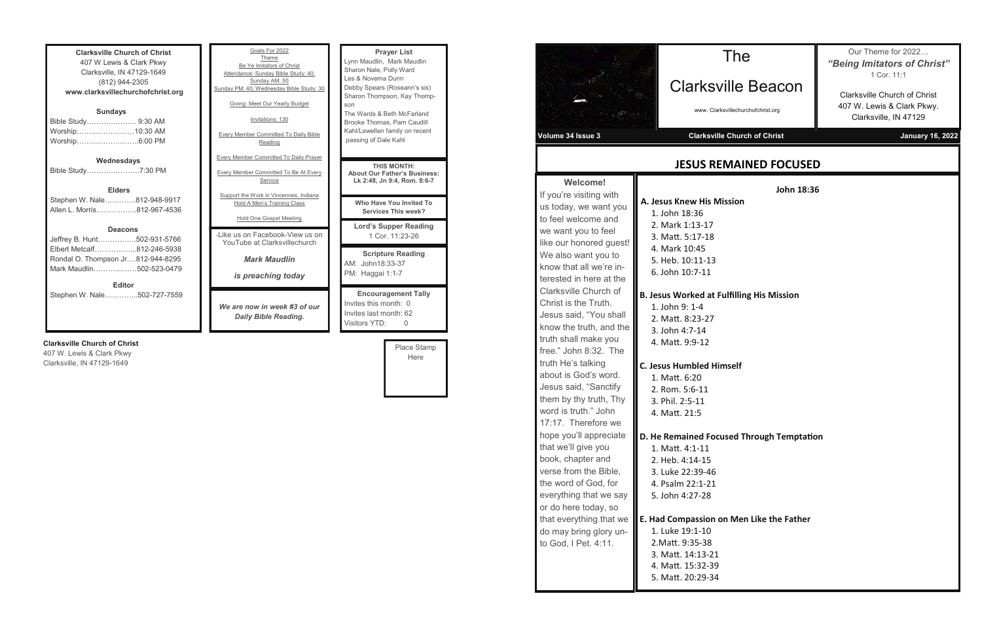| <b>Clarksville Church of Christ</b> |  |  |  |  |
|-------------------------------------|--|--|--|--|
| 407 W Lewis & Clark Pkwy            |  |  |  |  |
| Clarksville, IN 47129-1649          |  |  |  |  |
| (812) 944-2305                      |  |  |  |  |
| www.clarksvillechurchofchrist.org   |  |  |  |  |
| <b>Sundays</b>                      |  |  |  |  |
| Bible Study………………… 9:30 AM          |  |  |  |  |
| Worship……………………10:30 AM             |  |  |  |  |
| Worship6:00 PM                      |  |  |  |  |
|                                     |  |  |  |  |
| Wednesdays                          |  |  |  |  |
| Bible Study7:30 PM                  |  |  |  |  |
|                                     |  |  |  |  |
| <b>Elders</b>                       |  |  |  |  |
| Stephen W. Nale812-948-9917         |  |  |  |  |
| Allen L. Morris812-967-4536         |  |  |  |  |
|                                     |  |  |  |  |
| <b>Deacons</b>                      |  |  |  |  |
| Jeffrey B. Hunt502-931-5766         |  |  |  |  |
| Elbert Metcalf812-246-5938          |  |  |  |  |
| Rondal O. Thompson Jr812-944-8295   |  |  |  |  |
| Mark Maudlin502-523-0479            |  |  |  |  |
|                                     |  |  |  |  |
| <b>Editor</b>                       |  |  |  |  |
| Stephen W. Nale502-727-7559         |  |  |  |  |
|                                     |  |  |  |  |
|                                     |  |  |  |  |

#### **Clarksville Church of Christ**

407 W. Lewis & Clark Pkwy Clarksville, IN 47129-1649

| Goals For 2022<br>Theme<br>Be Ye Imitators of Christ<br>Attendance: Sunday Bible Study: 40:<br>Sunday AM: 50<br>Sunday PM: 40; Wednesday Bible Study: 30<br>Giving: Meet Our Yearly Budget<br>Invitations: 130<br><b>Every Member Committed To Daily Bible</b> | <b>Prayer List</b><br>Lynn Maudlin, Mark Maudlin<br>Sharon Nale, Polly Ward<br>Les & Novema Dunn<br>Debby Spears (Roseann's sis)<br>Sharon Thompson, Kay Thomp-<br>son<br>The Wards & Beth McFarland<br>Brooke Thomas, Pam Caudill<br>Kahl/Lewellen family on recent |
|----------------------------------------------------------------------------------------------------------------------------------------------------------------------------------------------------------------------------------------------------------------|----------------------------------------------------------------------------------------------------------------------------------------------------------------------------------------------------------------------------------------------------------------------|
| Reading                                                                                                                                                                                                                                                        | passing of Dale Kahl                                                                                                                                                                                                                                                 |
| <b>Every Member Committed To Daily Prayer</b><br><b>Every Member Committed To Be At Every</b><br>Service                                                                                                                                                       | <b>THIS MONTH:</b><br><b>About Our Father's Business:</b><br>Lk 2:48, Jn 9:4, Rom. 8:6-7                                                                                                                                                                             |
| Support the Work in Vincennes, Indiana<br>Hold A Men's Training Class                                                                                                                                                                                          | Who Have You Invited To<br><b>Services This week?</b>                                                                                                                                                                                                                |
| Hold One Gospel Meeting                                                                                                                                                                                                                                        | <b>Lord's Supper Reading</b>                                                                                                                                                                                                                                         |
| -I ike us on Facebook-View us on<br>YouTube at Clarksvillechurch                                                                                                                                                                                               | 1 Cor. 11:23-26                                                                                                                                                                                                                                                      |
| <b>Mark Maudlin</b><br>is preaching today                                                                                                                                                                                                                      | <b>Scripture Reading</b><br>AM: John18:33-37<br>PM: Haggai 1:1-7                                                                                                                                                                                                     |
| We are now in week #3 of our<br><b>Daily Bible Reading.</b>                                                                                                                                                                                                    | <b>Encouragement Tally</b><br>Invites this month: 0<br>Invites last month: 62<br>Visitors YTD:<br>0                                                                                                                                                                  |

| Place Stamp |  |
|-------------|--|
| Here        |  |
|             |  |
|             |  |
|             |  |

|                                                                                                                                                                                                                                                                                                                         | www. Clarl<br>Clarksvill                                                                                                                                                                                                                                                                                                                                                                                                                                                                                                                                                            |
|-------------------------------------------------------------------------------------------------------------------------------------------------------------------------------------------------------------------------------------------------------------------------------------------------------------------------|-------------------------------------------------------------------------------------------------------------------------------------------------------------------------------------------------------------------------------------------------------------------------------------------------------------------------------------------------------------------------------------------------------------------------------------------------------------------------------------------------------------------------------------------------------------------------------------|
|                                                                                                                                                                                                                                                                                                                         | <b>JESUS RE</b>                                                                                                                                                                                                                                                                                                                                                                                                                                                                                                                                                                     |
| us today, we want you<br>like our honored guest!<br>know that all we're in-<br>terested in here at the<br>Jesus said, "You shall<br>know the truth, and the<br>free." John 8:32. The<br>them by thy truth, Thy<br>hope you'll appreciate<br>everything that we say<br>that everything that we<br>do may bring glory un- | A. Jesus Knew His M<br>1. John 18:36<br>2. Mark 1:13-17<br>3. Matt. 5:17-18<br>4. Mark 10:45<br>5. Heb. 10:11-13<br>6. John 10:7-11<br><b>B. Jesus Worked at F</b><br>1. John 9: 1-4<br>2. Matt. 8:23-27<br>3. John 4:7-14<br>4. Matt. 9:9-12<br>C. Jesus Humbled Hir<br>1. Matt. 6:20<br>2. Rom. 5:6-11<br>3. Phil. 2:5-11<br>4. Matt. 21:5<br>D. He Remained Foct<br>1. Matt. 4:1-11<br>2. Heb. 4:14-15<br>3. Luke 22:39-46<br>4. Psalm 22:1-21<br>5. John 4:27-28<br><b>E. Had Compassion o</b><br>1. Luke 19:1-10<br>2. Matt. 9:35-38<br>3. Matt. 14:13-21<br>4. Matt. 15:32-39 |

**John 18:36**

**His Mission** 

**Red at Fulfilling His Mission** 

**Ded Himself** 

**Ded Focused Through Temptation** 

**E. Had Compassion on Men Like the Father**

The

arksville Beacon

www. Clarksvillechurchofchrist.org

**Volume 3 Issue 3 Arizon 2 Issue 3 Issue 3 Arizon 2 Issue 3 Arizon 2 Issue 3 Arizon 2 Issue 3 Arizon 2 Issue 3 Arizon 2 Issue 3 Arizon 2 Issue 3 Arizon 2 Issue 3 Arizon 2 Issue 3 Arizon 2 Issue 3 Arizon 2 Issue 3 Arizon 2** 

Our Theme for 2022… *"Being Imitators of Christ"* 1 Cor. 11:1

Clarksville Church of Christ 407 W. Lewis & Clark Pkwy. Clarksville, IN 47129

### **US REMAINED FOCUSED**